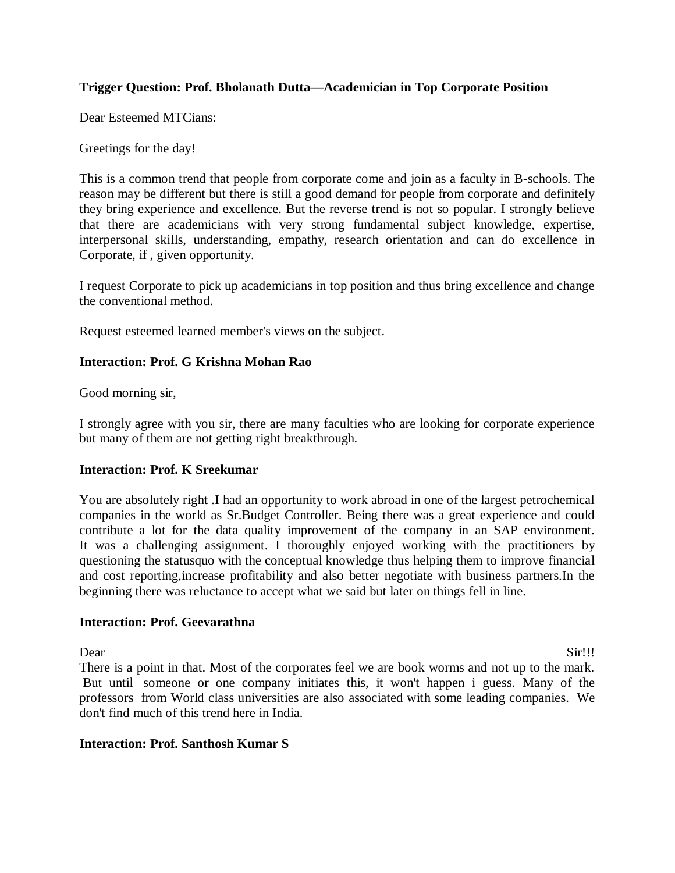## **Trigger Question: Prof. Bholanath Dutta—Academician in Top Corporate Position**

Dear Esteemed MTCians:

Greetings for the day!

This is a common trend that people from corporate come and join as a faculty in B-schools. The reason may be different but there is still a good demand for people from corporate and definitely they bring experience and excellence. But the reverse trend is not so popular. I strongly believe that there are academicians with very strong fundamental subject knowledge, expertise, interpersonal skills, understanding, empathy, research orientation and can do excellence in Corporate, if , given opportunity.

I request Corporate to pick up academicians in top position and thus bring excellence and change the conventional method.

Request esteemed learned member's views on the subject.

#### **Interaction: Prof. G Krishna Mohan Rao**

Good morning sir,

I strongly agree with you sir, there are many faculties who are looking for corporate experience but many of them are not getting right breakthrough.

#### **Interaction: Prof. K Sreekumar**

You are absolutely right .I had an opportunity to work abroad in one of the largest petrochemical companies in the world as Sr.Budget Controller. Being there was a great experience and could contribute a lot for the data quality improvement of the company in an SAP environment. It was a challenging assignment. I thoroughly enjoyed working with the practitioners by questioning the statusquo with the conceptual knowledge thus helping them to improve financial and cost reporting,increase profitability and also better negotiate with business partners.In the beginning there was reluctance to accept what we said but later on things fell in line.

#### **Interaction: Prof. Geevarathna**

Dear Sir!!! There is a point in that. Most of the corporates feel we are book worms and not up to the mark. But until someone or one company initiates this, it won't happen i guess. Many of the professors from World class universities are also associated with some leading companies. We don't find much of this trend here in India.

# **Interaction: Prof. Santhosh Kumar S**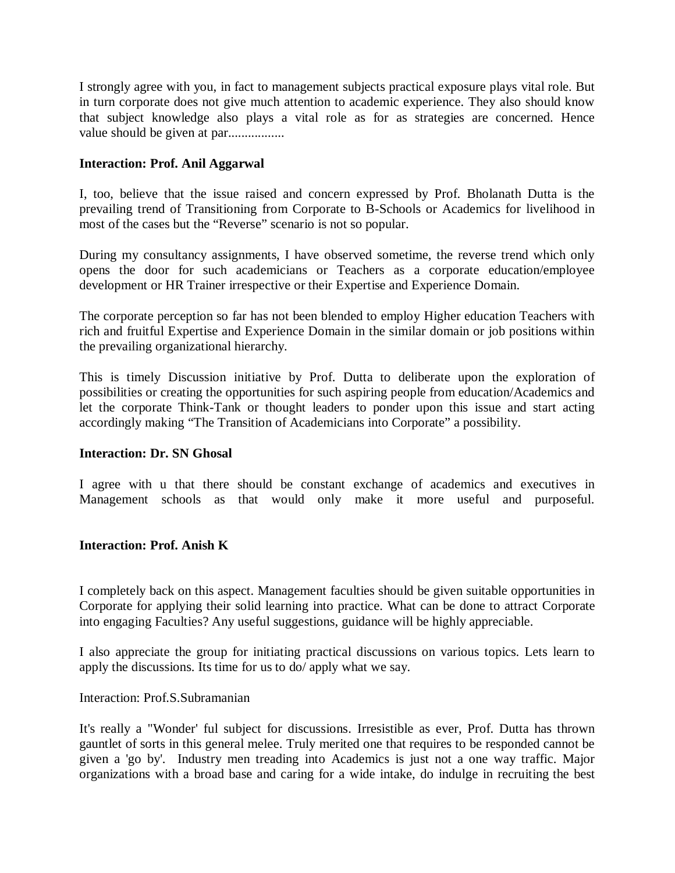I strongly agree with you, in fact to management subjects practical exposure plays vital role. But in turn corporate does not give much attention to academic experience. They also should know that subject knowledge also plays a vital role as for as strategies are concerned. Hence value should be given at par.................

## **Interaction: Prof. Anil Aggarwal**

I, too, believe that the issue raised and concern expressed by Prof. Bholanath Dutta is the prevailing trend of Transitioning from Corporate to B-Schools or Academics for livelihood in most of the cases but the "Reverse" scenario is not so popular.

During my consultancy assignments, I have observed sometime, the reverse trend which only opens the door for such academicians or Teachers as a corporate education/employee development or HR Trainer irrespective or their Expertise and Experience Domain.

The corporate perception so far has not been blended to employ Higher education Teachers with rich and fruitful Expertise and Experience Domain in the similar domain or job positions within the prevailing organizational hierarchy.

This is timely Discussion initiative by Prof. Dutta to deliberate upon the exploration of possibilities or creating the opportunities for such aspiring people from education/Academics and let the corporate Think-Tank or thought leaders to ponder upon this issue and start acting accordingly making "The Transition of Academicians into Corporate" a possibility.

### **Interaction: Dr. SN Ghosal**

I agree with u that there should be constant exchange of academics and executives in Management schools as that would only make it more useful and purposeful.

### **Interaction: Prof. Anish K**

I completely back on this aspect. Management faculties should be given suitable opportunities in Corporate for applying their solid learning into practice. What can be done to attract Corporate into engaging Faculties? Any useful suggestions, guidance will be highly appreciable.

I also appreciate the group for initiating practical discussions on various topics. Lets learn to apply the discussions. Its time for us to do/ apply what we say.

#### Interaction: Prof.S.Subramanian

It's really a "Wonder' ful subject for discussions. Irresistible as ever, Prof. Dutta has thrown gauntlet of sorts in this general melee. Truly merited one that requires to be responded cannot be given a 'go by'. Industry men treading into Academics is just not a one way traffic. Major organizations with a broad base and caring for a wide intake, do indulge in recruiting the best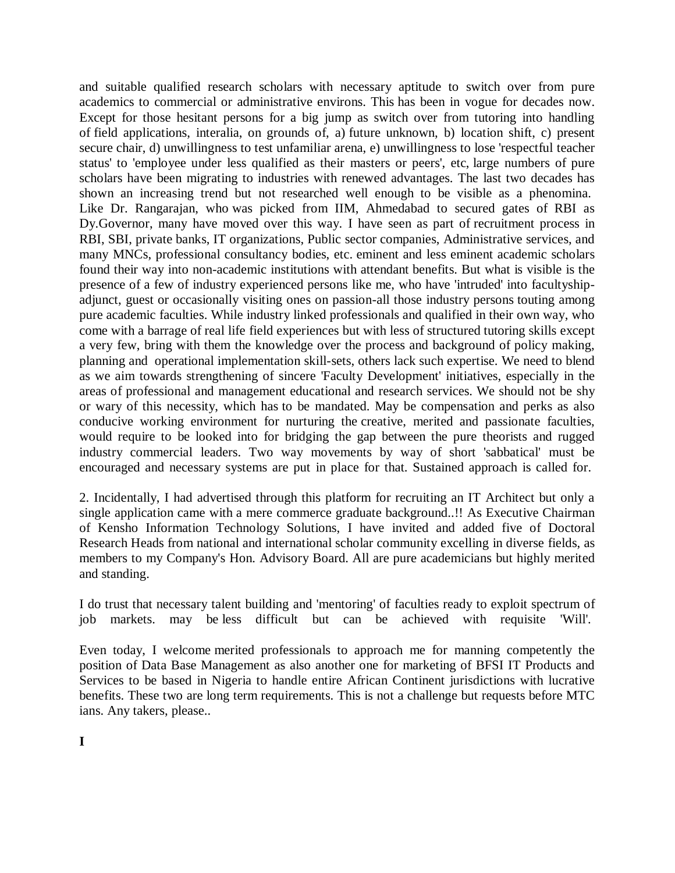and suitable qualified research scholars with necessary aptitude to switch over from pure academics to commercial or administrative environs. This has been in vogue for decades now. Except for those hesitant persons for a big jump as switch over from tutoring into handling of field applications, interalia, on grounds of, a) future unknown, b) location shift, c) present secure chair, d) unwillingness to test unfamiliar arena, e) unwillingness to lose 'respectful teacher status' to 'employee under less qualified as their masters or peers', etc, large numbers of pure scholars have been migrating to industries with renewed advantages. The last two decades has shown an increasing trend but not researched well enough to be visible as a phenomina. Like Dr. Rangarajan, who was picked from IIM, Ahmedabad to secured gates of RBI as Dy.Governor, many have moved over this way. I have seen as part of recruitment process in RBI, SBI, private banks, IT organizations, Public sector companies, Administrative services, and many MNCs, professional consultancy bodies, etc. eminent and less eminent academic scholars found their way into non-academic institutions with attendant benefits. But what is visible is the presence of a few of industry experienced persons like me, who have 'intruded' into facultyshipadjunct, guest or occasionally visiting ones on passion-all those industry persons touting among pure academic faculties. While industry linked professionals and qualified in their own way, who come with a barrage of real life field experiences but with less of structured tutoring skills except a very few, bring with them the knowledge over the process and background of policy making, planning and operational implementation skill-sets, others lack such expertise. We need to blend as we aim towards strengthening of sincere 'Faculty Development' initiatives, especially in the areas of professional and management educational and research services. We should not be shy or wary of this necessity, which has to be mandated. May be compensation and perks as also conducive working environment for nurturing the creative, merited and passionate faculties, would require to be looked into for bridging the gap between the pure theorists and rugged industry commercial leaders. Two way movements by way of short 'sabbatical' must be encouraged and necessary systems are put in place for that. Sustained approach is called for.

2. Incidentally, I had advertised through this platform for recruiting an IT Architect but only a single application came with a mere commerce graduate background..!! As Executive Chairman of Kensho Information Technology Solutions, I have invited and added five of Doctoral Research Heads from national and international scholar community excelling in diverse fields, as members to my Company's Hon. Advisory Board. All are pure academicians but highly merited and standing.

I do trust that necessary talent building and 'mentoring' of faculties ready to exploit spectrum of job markets. may be less difficult but can be achieved with requisite 'Will'.

Even today, I welcome merited professionals to approach me for manning competently the position of Data Base Management as also another one for marketing of BFSI IT Products and Services to be based in Nigeria to handle entire African Continent jurisdictions with lucrative benefits. These two are long term requirements. This is not a challenge but requests before MTC ians. Any takers, please..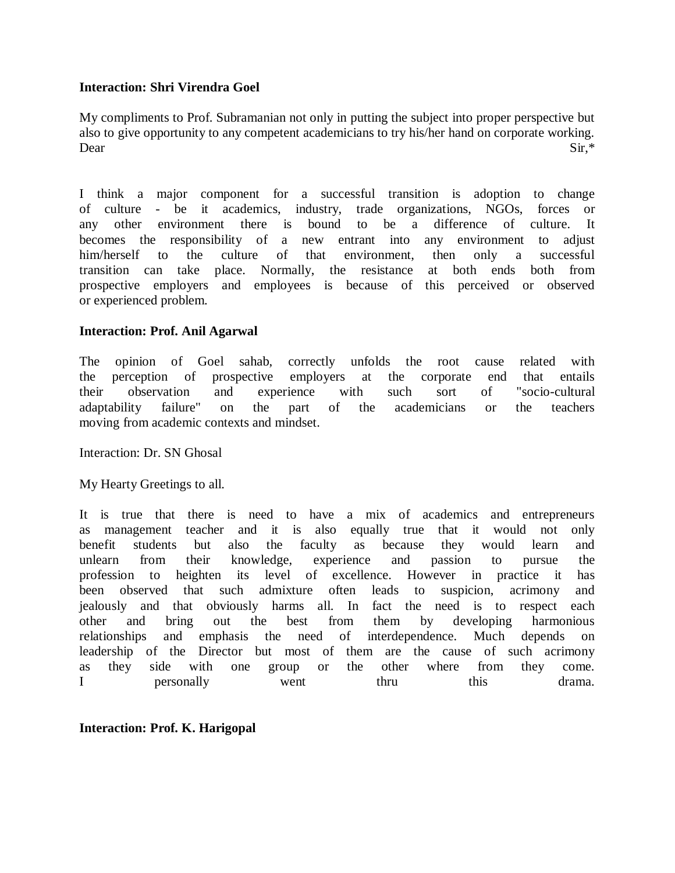### **Interaction: Shri Virendra Goel**

My compliments to Prof. Subramanian not only in putting the subject into proper perspective but also to give opportunity to any competent academicians to try his/her hand on corporate working. Dear Sir,\*

I think a major component for a successful transition is adoption to change of culture - be it academics, industry, trade organizations, NGOs, forces or any other environment there is bound to be a difference of culture. It becomes the responsibility of a new entrant into any environment to adjust him/herself to the culture of that environment, then only a successful transition can take place. Normally, the resistance at both ends both from prospective employers and employees is because of this perceived or observed or experienced problem.

#### **Interaction: Prof. Anil Agarwal**

The opinion of Goel sahab, correctly unfolds the root cause related with the perception of prospective employers at the corporate end that entails their observation and experience with such sort of "socio-cultural adaptability failure" on the part of the academicians or the teachers moving from academic contexts and mindset.

Interaction: Dr. SN Ghosal

My Hearty Greetings to all.

It is true that there is need to have a mix of academics and entrepreneurs as management teacher and it is also equally true that it would not only benefit students but also the faculty as because they would learn and unlearn from their knowledge, experience and passion to pursue the profession to heighten its level of excellence. However in practice it has been observed that such admixture often leads to suspicion, acrimony and jealously and that obviously harms all. In fact the need is to respect each other and bring out the best from them by developing harmonious relationships and emphasis the need of interdependence. Much depends on leadership of the Director but most of them are the cause of such acrimony as they side with one group or the other where from they come. I personally went thru this drama.

**Interaction: Prof. K. Harigopal**